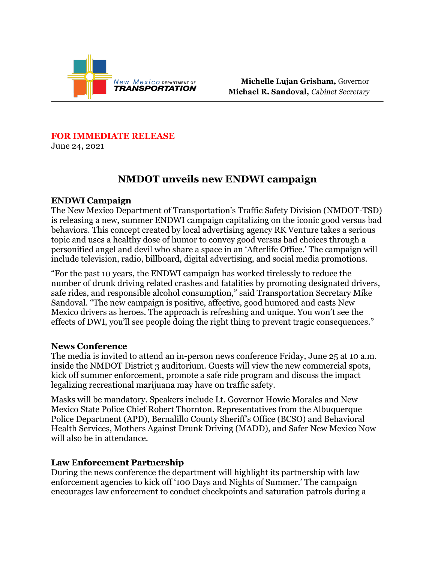

#### **FOR IMMEDIATE RELEASE**

June 24, 2021

# **NMDOT unveils new ENDWI campaign**

#### **ENDWI Campaign**

The New Mexico Department of Transportation's Traffic Safety Division (NMDOT-TSD) is releasing a new, summer ENDWI campaign capitalizing on the iconic good versus bad behaviors. This concept created by local advertising agency RK Venture takes a serious topic and uses a healthy dose of humor to convey good versus bad choices through a personified angel and devil who share a space in an 'Afterlife Office.' The campaign will include television, radio, billboard, digital advertising, and social media promotions.

"For the past 10 years, the ENDWI campaign has worked tirelessly to reduce the number of drunk driving related crashes and fatalities by promoting designated drivers, safe rides, and responsible alcohol consumption," said Transportation Secretary Mike Sandoval. "The new campaign is positive, affective, good humored and casts New Mexico drivers as heroes. The approach is refreshing and unique. You won't see the effects of DWI, you'll see people doing the right thing to prevent tragic consequences."

### **News Conference**

The media is invited to attend an in-person news conference Friday, June 25 at 10 a.m. inside the NMDOT District 3 auditorium. Guests will view the new commercial spots, kick off summer enforcement, promote a safe ride program and discuss the impact legalizing recreational marijuana may have on traffic safety.

Masks will be mandatory. Speakers include Lt. Governor Howie Morales and New Mexico State Police Chief Robert Thornton. Representatives from the Albuquerque Police Department (APD), Bernalillo County Sheriff's Office (BCSO) and Behavioral Health Services, Mothers Against Drunk Driving (MADD), and Safer New Mexico Now will also be in attendance.

### **Law Enforcement Partnership**

During the news conference the department will highlight its partnership with law enforcement agencies to kick off '100 Days and Nights of Summer.' The campaign encourages law enforcement to conduct checkpoints and saturation patrols during a